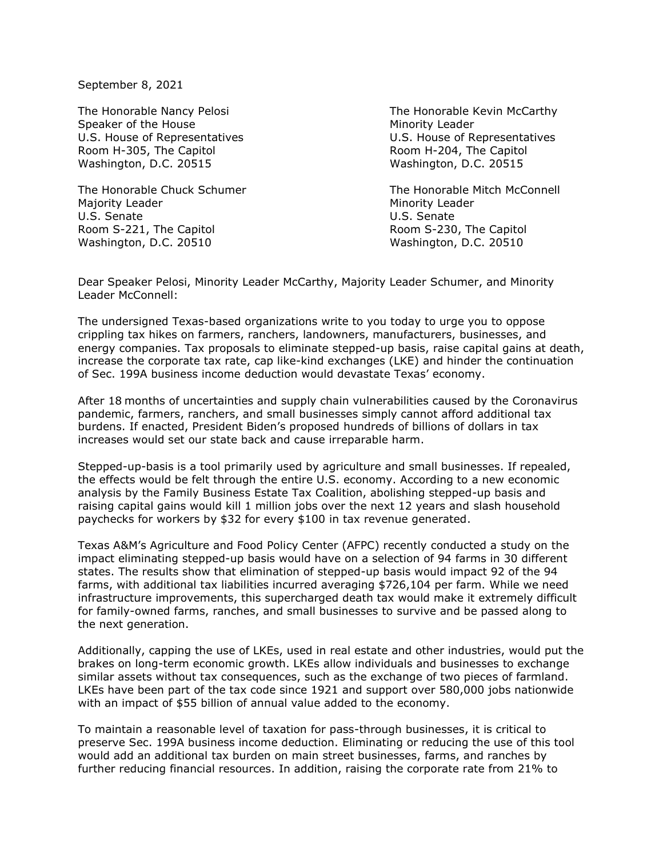September 8, 2021

Speaker of the House Minority Leader Room H-305, The Capitol **Room H-204**, The Capitol Washington, D.C. 20515 Washington, D.C. 20515

Majority Leader **Minority Leader** Minority Leader U.S. Senate U.S. Senate Room S-221, The Capitol **Room S-230**, The Capitol Washington, D.C. 20510 Washington, D.C. 20510

The Honorable Nancy Pelosi **The Honorable Kevin McCarthy** U.S. House of Representatives U.S. House of Representatives

The Honorable Chuck Schumer The Honorable Mitch McConnell

Dear Speaker Pelosi, Minority Leader McCarthy, Majority Leader Schumer, and Minority Leader McConnell:

The undersigned Texas-based organizations write to you today to urge you to oppose crippling tax hikes on farmers, ranchers, landowners, manufacturers, businesses, and energy companies. Tax proposals to eliminate stepped-up basis, raise capital gains at death, increase the corporate tax rate, cap like-kind exchanges (LKE) and hinder the continuation of Sec. 199A business income deduction would devastate Texas' economy.

After 18 months of uncertainties and supply chain vulnerabilities caused by the Coronavirus pandemic, farmers, ranchers, and small businesses simply cannot afford additional tax burdens. If enacted, President Biden's proposed hundreds of billions of dollars in tax increases would set our state back and cause irreparable harm.

Stepped-up-basis is a tool primarily used by agriculture and small businesses. If repealed, the effects would be felt through the entire U.S. economy. According to a new economic analysis by the Family Business Estate Tax Coalition, abolishing stepped-up basis and raising capital gains would kill 1 million jobs over the next 12 years and slash household paychecks for workers by \$32 for every \$100 in tax revenue generated.

Texas A&M's Agriculture and Food Policy Center (AFPC) recently conducted a study on the impact eliminating stepped-up basis would have on a selection of 94 farms in 30 different states. The results show that elimination of stepped-up basis would impact 92 of the 94 farms, with additional tax liabilities incurred averaging \$726,104 per farm. While we need infrastructure improvements, this supercharged death tax would make it extremely difficult for family-owned farms, ranches, and small businesses to survive and be passed along to the next generation.

Additionally, capping the use of LKEs, used in real estate and other industries, would put the brakes on long-term economic growth. LKEs allow individuals and businesses to exchange similar assets without tax consequences, such as the exchange of two pieces of farmland. LKEs have been part of the tax code since 1921 and support over 580,000 jobs nationwide with an impact of \$55 billion of annual value added to the economy.

To maintain a reasonable level of taxation for pass-through businesses, it is critical to preserve Sec. 199A business income deduction. Eliminating or reducing the use of this tool would add an additional tax burden on main street businesses, farms, and ranches by further reducing financial resources. In addition, raising the corporate rate from 21% to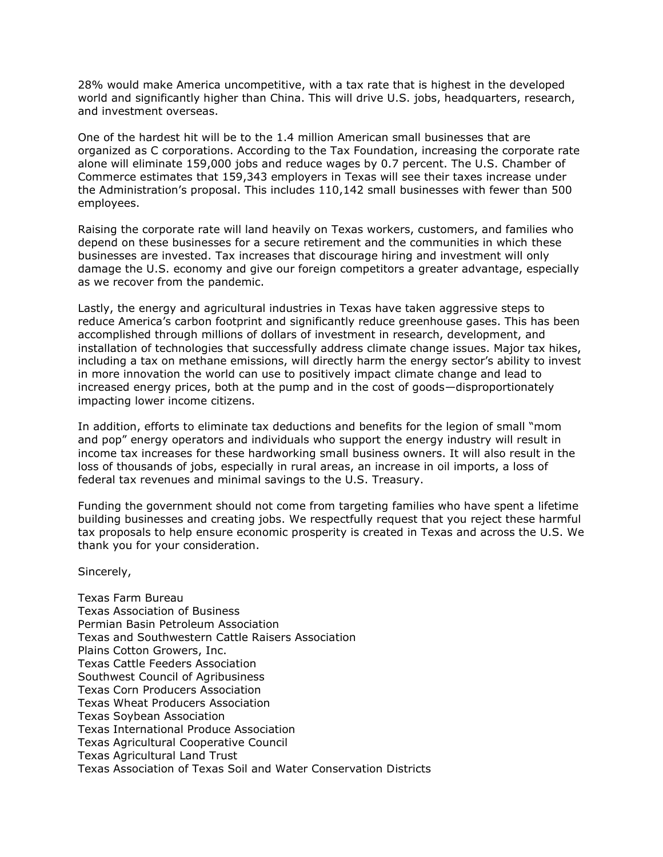28% would make America uncompetitive, with a tax rate that is highest in the developed world and significantly higher than China. This will drive U.S. jobs, headquarters, research, and investment overseas.

One of the hardest hit will be to the 1.4 million American small businesses that are organized as C corporations. According to the Tax Foundation, increasing the corporate rate alone will eliminate 159,000 jobs and reduce wages by 0.7 percent. The U.S. Chamber of Commerce estimates that 159,343 employers in Texas will see their taxes increase under the Administration's proposal. This includes 110,142 small businesses with fewer than 500 employees.

Raising the corporate rate will land heavily on Texas workers, customers, and families who depend on these businesses for a secure retirement and the communities in which these businesses are invested. Tax increases that discourage hiring and investment will only damage the U.S. economy and give our foreign competitors a greater advantage, especially as we recover from the pandemic.

Lastly, the energy and agricultural industries in Texas have taken aggressive steps to reduce America's carbon footprint and significantly reduce greenhouse gases. This has been accomplished through millions of dollars of investment in research, development, and installation of technologies that successfully address climate change issues. Major tax hikes, including a tax on methane emissions, will directly harm the energy sector's ability to invest in more innovation the world can use to positively impact climate change and lead to increased energy prices, both at the pump and in the cost of goods—disproportionately impacting lower income citizens.

In addition, efforts to eliminate tax deductions and benefits for the legion of small "mom and pop" energy operators and individuals who support the energy industry will result in income tax increases for these hardworking small business owners. It will also result in the loss of thousands of jobs, especially in rural areas, an increase in oil imports, a loss of federal tax revenues and minimal savings to the U.S. Treasury.

Funding the government should not come from targeting families who have spent a lifetime building businesses and creating jobs. We respectfully request that you reject these harmful tax proposals to help ensure economic prosperity is created in Texas and across the U.S. We thank you for your consideration.

Sincerely,

Texas Farm Bureau Texas Association of Business Permian Basin Petroleum Association Texas and Southwestern Cattle Raisers Association Plains Cotton Growers, Inc. Texas Cattle Feeders Association Southwest Council of Agribusiness Texas Corn Producers Association Texas Wheat Producers Association Texas Soybean Association Texas International Produce Association Texas Agricultural Cooperative Council Texas Agricultural Land Trust Texas Association of Texas Soil and Water Conservation Districts